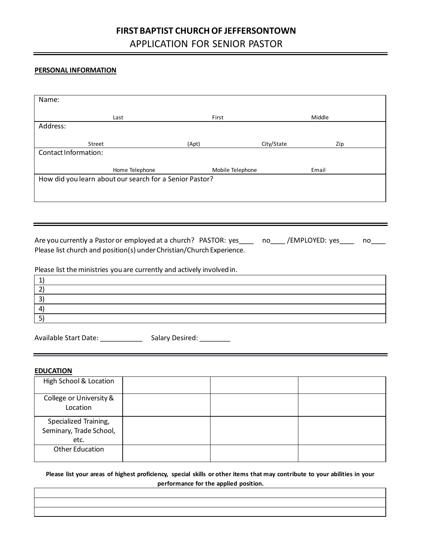# **FIRST BAPTIST CHURCH OF JEFFERSONTOWN** APPLICATION FOR SENIOR PASTOR

## **PERSONAL INFORMATION**

| Name:                                                                                                                                                                         |                                                         |                  |                        |     |
|-------------------------------------------------------------------------------------------------------------------------------------------------------------------------------|---------------------------------------------------------|------------------|------------------------|-----|
|                                                                                                                                                                               | Last                                                    | First            | Middle                 |     |
| Address:                                                                                                                                                                      |                                                         |                  |                        |     |
| Street                                                                                                                                                                        |                                                         | (Apt)            | City/State <b>City</b> | Zip |
| Contact Information:                                                                                                                                                          |                                                         |                  |                        |     |
|                                                                                                                                                                               | Home Telephone                                          | Mobile Telephone | Email                  |     |
|                                                                                                                                                                               | How did you learn about our search for a Senior Pastor? |                  |                        |     |
|                                                                                                                                                                               |                                                         |                  |                        |     |
|                                                                                                                                                                               |                                                         |                  |                        |     |
|                                                                                                                                                                               |                                                         |                  |                        |     |
|                                                                                                                                                                               |                                                         |                  |                        |     |
| Are you currently a Pastor or employed at a church? PASTOR: yes ____ no____/EMPLOYED: yes ____<br>no<br>Please list church and position(s) under Christian/Church Experience. |                                                         |                  |                        |     |
|                                                                                                                                                                               |                                                         |                  |                        |     |
| Please list the ministries you are currently and actively involved in.                                                                                                        |                                                         |                  |                        |     |
| 1)                                                                                                                                                                            |                                                         |                  |                        |     |
| 2)<br>$\overline{3}$                                                                                                                                                          |                                                         |                  |                        |     |
| 4)                                                                                                                                                                            |                                                         |                  |                        |     |
| 5)                                                                                                                                                                            |                                                         |                  |                        |     |
|                                                                                                                                                                               | Available Start Date: Salary Desired:                   |                  |                        |     |
|                                                                                                                                                                               |                                                         |                  |                        |     |

## **EDUCATION**

| High School & Location                                   |  |  |
|----------------------------------------------------------|--|--|
| College or University &<br>Location                      |  |  |
| Specialized Training,<br>Seminary, Trade School,<br>etc. |  |  |
| <b>Other Education</b>                                   |  |  |

**Please list your areas of highest proficiency, special skills or other items that may contribute to your abilities in your performance for the applied position.**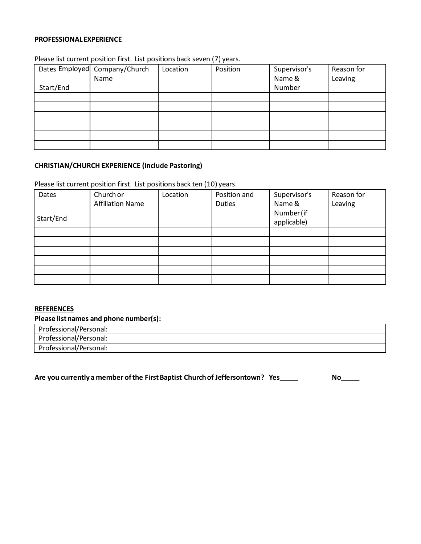#### **PROFESSIONALEXPERIENCE**

### Please list current position first. List positions back seven (7) years.

|           | Dates Employed Company/Church | Location | Position | Supervisor's | Reason for |
|-----------|-------------------------------|----------|----------|--------------|------------|
|           | Name                          |          |          | Name &       | Leaving    |
| Start/End |                               |          |          | Number       |            |
|           |                               |          |          |              |            |
|           |                               |          |          |              |            |
|           |                               |          |          |              |            |
|           |                               |          |          |              |            |
|           |                               |          |          |              |            |
|           |                               |          |          |              |            |

#### **CHRISTIAN/CHURCH EXPERIENCE (include Pastoring)**

Please list current position first. List positions back ten (10) years.

| Dates     | Church or               | Location | Position and | Supervisor's | Reason for |
|-----------|-------------------------|----------|--------------|--------------|------------|
|           | <b>Affiliation Name</b> |          | Duties       | Name &       | Leaving    |
|           |                         |          |              | Number (if   |            |
| Start/End |                         |          |              | applicable)  |            |
|           |                         |          |              |              |            |
|           |                         |          |              |              |            |
|           |                         |          |              |              |            |
|           |                         |          |              |              |            |
|           |                         |          |              |              |            |
|           |                         |          |              |              |            |

#### **REFERENCES**

## **Please list names and phone number(s):**

Professional/Personal: Professional/Personal: Professional/Personal:

**Are you currently a member of the First Baptist Church of Jeffersontown? Yes\_\_\_\_\_ No\_\_\_\_\_**